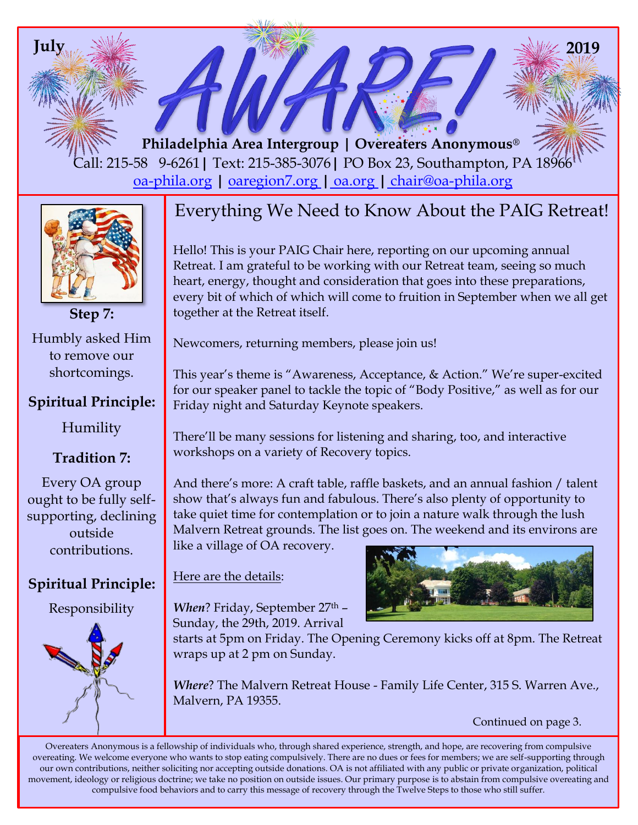**Philadelphia Area Intergroup | Overeaters Anonymous®** Call: 215-58 9-6261**|** Text: 215-385-3076**|** PO Box 23, Southampton, PA 18966 oa-phila.org **|** [oaregion7.org](file:///C:/Users/Owner/Documents/oaregion7.org) **|** oa.org **|** chair@oa-phila.org

**July 2019**

Humbly asked Him to remove our shortcomings.

**Step 7:**

## **Spiritual Principle:**

Humility

# **Tradition 7:**

Every OA group ought to be fully selfsupporting, declining outside contributions.

# **Spiritual Principle:**

Responsibility



# Everything We Need to Know About the PAIG Retreat!

Hello! This is your PAIG Chair here, reporting on our upcoming annual Retreat. I am grateful to be working with our Retreat team, seeing so much heart, energy, thought and consideration that goes into these preparations, every bit of which of which will come to fruition in September when we all get together at the Retreat itself.

Newcomers, returning members, please join us!

This year's theme is "Awareness, Acceptance, & Action." We're super-excited for our speaker panel to tackle the topic of "Body Positive," as well as for our Friday night and Saturday Keynote speakers.

There'll be many sessions for listening and sharing, too, and interactive workshops on a variety of Recovery topics.

And there's more: A craft table, raffle baskets, and an annual fashion / talent show that's always fun and fabulous. There's also plenty of opportunity to take quiet time for contemplation or to join a nature walk through the lush Malvern Retreat grounds. The list goes on. The weekend and its environs are like a village of OA recovery.

## Here are the details:

When? Friday, September 27<sup>th</sup> -Sunday, the 29th, 2019. Arrival



starts at 5pm on Friday. The Opening Ceremony kicks off at 8pm. The Retreat wraps up at 2 pm on Sunday.

*Where*? The Malvern Retreat House - Family Life Center, 315 S. Warren Ave., Malvern, PA 19355.

Continued on page 3.

Overeaters Anonymous is a fellowship of individuals who, through shared experience, strength, and hope, are recovering from compulsive overeating. We welcome everyone who wants to stop eating compulsively. There are no dues or fees for members; we are self-supporting through our own contributions, neither soliciting nor accepting outside donations. OA is not affiliated with any public or private organization, political movement, ideology or religious doctrine; we take no position on outside issues. Our primary purpose is to abstain from compulsive overeating and compulsive food behaviors and to carry this message of recovery through the Twelve Steps to those who still suffer.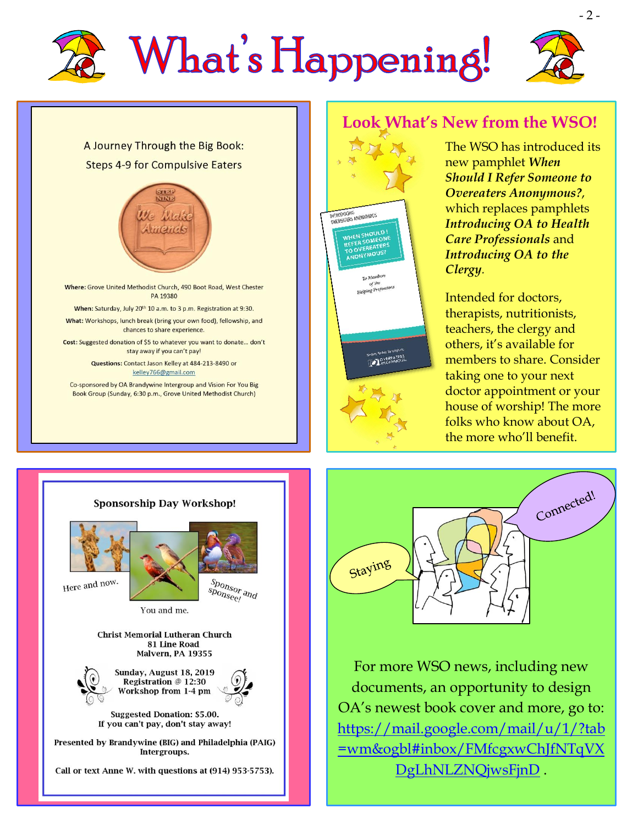







Where: Grove United Methodist Church, 490 Boot Road, West Chester PA 19380

When: Saturday, July 20th 10 a.m. to 3 p.m. Registration at 9:30. What: Workshops, lunch break (bring your own food), fellowship, and

chances to share experience. Cost: Suggested donation of \$5 to whatever you want to donate... don't

stay away if you can't pay! Questions: Contact Jason Kelley at 484-213-8490 or

kelley766@gmail.com

Co-sponsored by OA Brandywine Intergroup and Vision For You Big Book Group (Sunday, 6:30 p.m., Grove United Methodist Church)



*Clergy.*

Intended for doctors, therapists, nutritionists, teachers, the clergy and others, it's available for members to share. Consider taking one to your next doctor appointment or your house of worship! The more folks who know about OA, the more who'll benefit.





For more WSO news, including new documents, an opportunity to design OA's newest book cover and more, go to: [https://mail.google.com/mail/u/1/?tab](https://mail.google.com/mail/u/1/?tab=wm&ogbl#inbox/FMfcgxwChJfNTqVXDgLhNLZNQjwsFjnD) [=wm&ogbl#inbox/FMfcgxwChJfNTqVX](https://mail.google.com/mail/u/1/?tab=wm&ogbl#inbox/FMfcgxwChJfNTqVXDgLhNLZNQjwsFjnD) [DgLhNLZNQjwsFjnD](https://mail.google.com/mail/u/1/?tab=wm&ogbl#inbox/FMfcgxwChJfNTqVXDgLhNLZNQjwsFjnD) .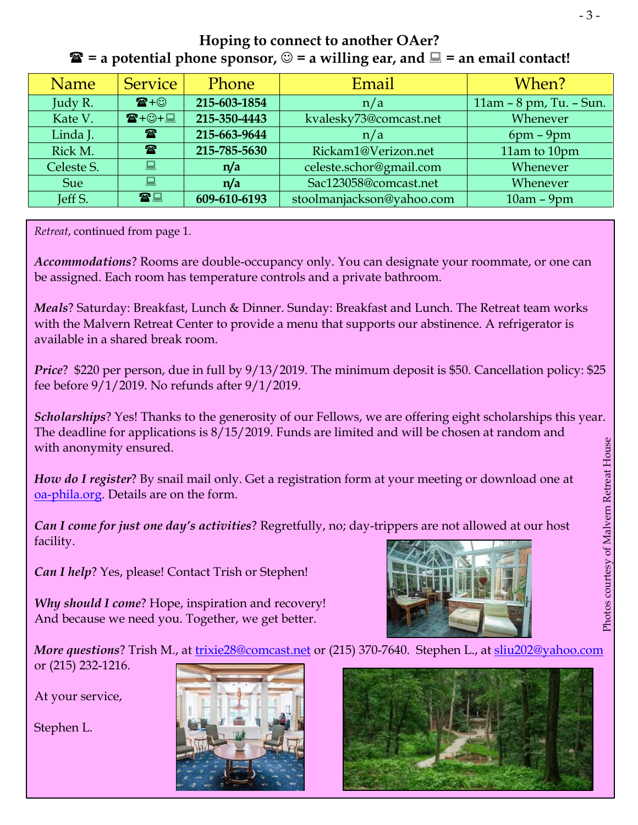#### **Hoping to connect to another OAer?**   $\mathbf{\hat{F}}$  = a potential phone sponsor,  $\odot$  = a willing ear, and  $\Box$  = an email contact!

| <b>Name</b> | <b>Service</b>                 | <b>Phone</b> | Email                     | When?                   |
|-------------|--------------------------------|--------------|---------------------------|-------------------------|
| Judy R.     | $\mathbf{E} + \odot$           | 215-603-1854 | n/a                       | 11am - 8 pm, Tu. - Sun. |
| Kate V.     | $\mathbf{E} + \odot + \square$ | 215-350-4443 | kvalesky73@comcast.net    | Whenever                |
| Linda J.    | $\mathbf{F}$                   | 215-663-9644 | n/a                       | $6pm - 9pm$             |
| Rick M.     | $\mathbf{r}$                   | 215-785-5630 | Rickam1@Verizon.net       | 11am to 10pm            |
| Celeste S.  | 昌                              | n/a          | celeste.schor@gmail.com   | Whenever                |
| Sue         | 鳳                              | n/a          | Sac123058@comcast.net     | Whenever                |
| Jeff S.     | 雷口                             | 609-610-6193 | stoolmanjackson@yahoo.com | $10am - 9pm$            |

*Retreat*, continued from page 1.

*Accommodations*? Rooms are double-occupancy only. You can designate your roommate, or one can be assigned. Each room has temperature controls and a private bathroom.

*Meals*? Saturday: Breakfast, Lunch & Dinner. Sunday: Breakfast and Lunch. The Retreat team works with the Malvern Retreat Center to provide a menu that supports our abstinence. A refrigerator is available in a shared break room.

*Price*? \$220 per person, due in full by 9/13/2019. The minimum deposit is \$50. Cancellation policy: \$25 fee before 9/1/2019. No refunds after 9/1/2019.

*Scholarships*? Yes! Thanks to the generosity of our Fellows, we are offering eight scholarships this year. The deadline for applications is 8/15/2019. Funds are limited and will be chosen at random and with anonymity ensured.

*How do I register*? By snail mail only. Get a registration form at your meeting or download one at [oa-phila.org.](oa-phila.org) Details are on the form.

*Can I come for just one day's activities*? Regretfully, no; day-trippers are not allowed at our host facility.

*Can I help*? Yes, please! Contact Trish or Stephen!

*Why should I come*? Hope, inspiration and recovery! And because we need you. Together, we get better.



*More questions*? Trish M., at [trixie28@comcast.net](mailto:trixie28@comcast.net) or (215) 370-7640. Stephen L., at [sliu202@yahoo.com](sliu202@yahoo.com%20)

At your service,

or (215) 232-1216.

Stephen L.